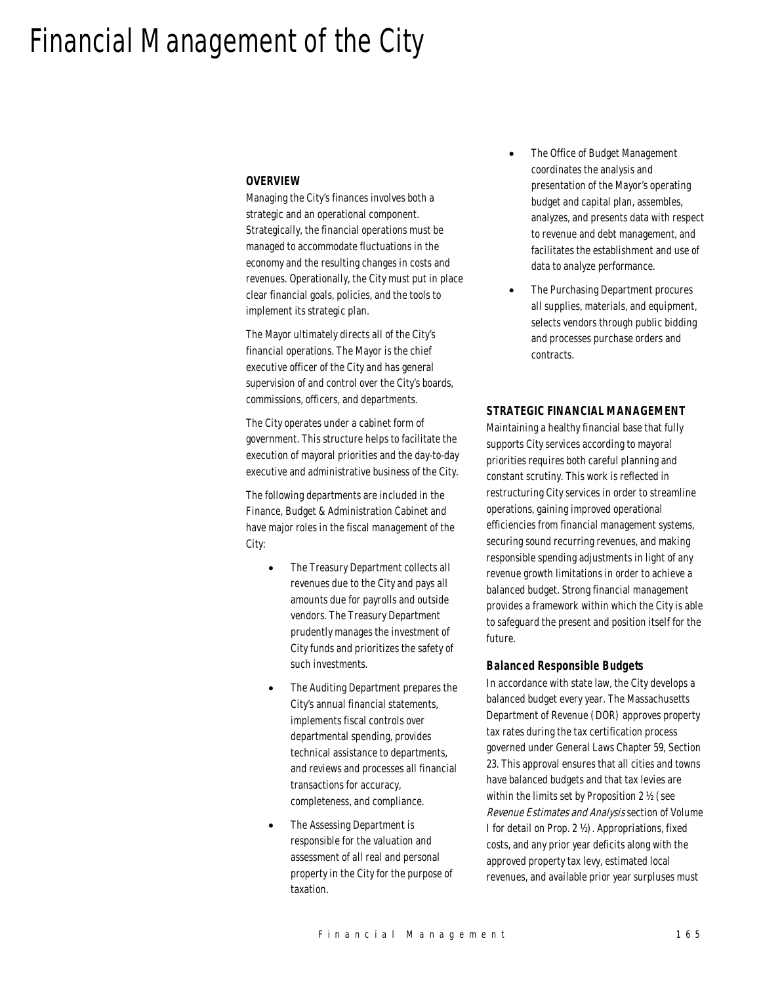# Financial Management of the City

#### *OVERVIEW*

Managing the City's finances involves both a strategic and an operational component. Strategically, the financial operations must be managed to accommodate fluctuations in the economy and the resulting changes in costs and revenues. Operationally, the City must put in place clear financial goals, policies, and the tools to implement its strategic plan.

The Mayor ultimately directs all of the City's financial operations. The Mayor is the chief executive officer of the City and has general supervision of and control over the City's boards, commissions, officers, and departments.

The City operates under a cabinet form of government. This structure helps to facilitate the execution of mayoral priorities and the day-to-day executive and administrative business of the City.

The following departments are included in the Finance, Budget & Administration Cabinet and have major roles in the fiscal management of the City:

- The Treasury Department collects all revenues due to the City and pays all amounts due for payrolls and outside vendors. The Treasury Department prudently manages the investment of City funds and prioritizes the safety of such investments.
- The Auditing Department prepares the City's annual financial statements, implements fiscal controls over departmental spending, provides technical assistance to departments, and reviews and processes all financial transactions for accuracy, completeness, and compliance.
- The Assessing Department is responsible for the valuation and assessment of all real and personal property in the City for the purpose of taxation.
- The Office of Budget Management coordinates the analysis and presentation of the Mayor's operating budget and capital plan, assembles, analyzes, and presents data with respect to revenue and debt management, and facilitates the establishment and use of data to analyze performance.
- The Purchasing Department procures all supplies, materials, and equipment, selects vendors through public bidding and processes purchase orders and contracts.

#### *STRATEGIC FINANCIAL MANAGEMENT*

Maintaining a healthy financial base that fully supports City services according to mayoral priorities requires both careful planning and constant scrutiny. This work is reflected in restructuring City services in order to streamline operations, gaining improved operational efficiencies from financial management systems, securing sound recurring revenues, and making responsible spending adjustments in light of any revenue growth limitations in order to achieve a balanced budget. Strong financial management provides a framework within which the City is able to safeguard the present and position itself for the future.

#### *Balanced Responsible Budgets*

In accordance with state law, the City develops a balanced budget every year. The Massachusetts Department of Revenue (DOR) approves property tax rates during the tax certification process governed under General Laws Chapter 59, Section 23. This approval ensures that all cities and towns have balanced budgets and that tax levies are within the limits set by Proposition 2 ½ (see Revenue Estimates and Analysis section of Volume I for detail on Prop. 2 ½). Appropriations, fixed costs, and any prior year deficits along with the approved property tax levy, estimated local revenues, and available prior year surpluses must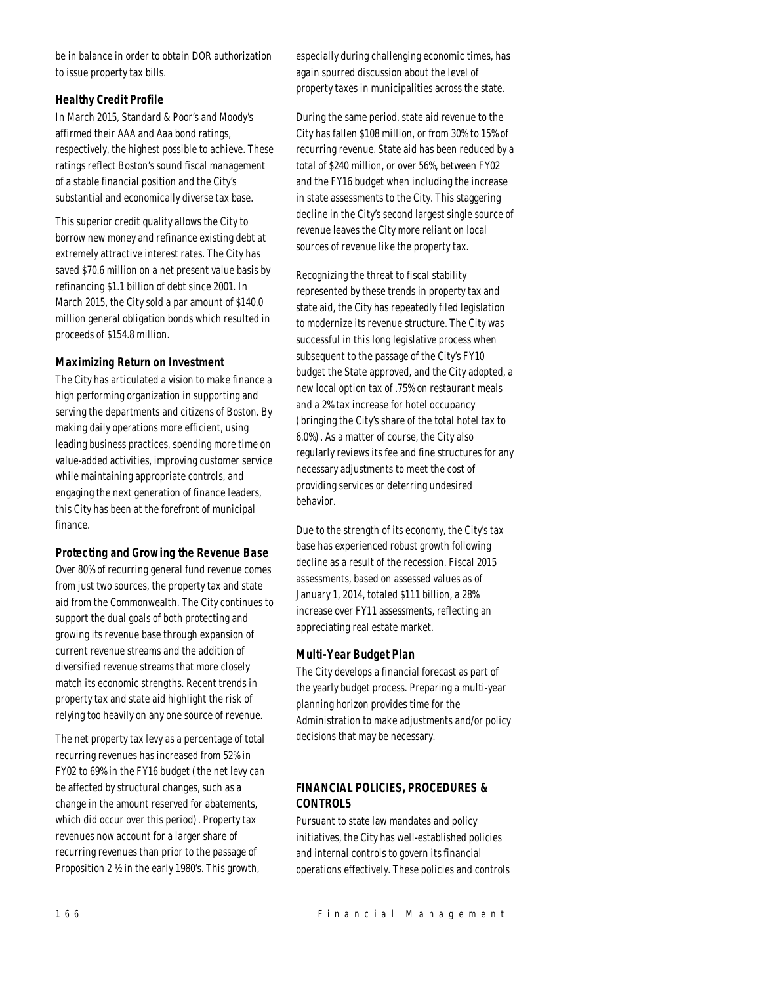be in balance in order to obtain DOR authorization to issue property tax bills.

# *Healthy Credit Profile*

In March 2015, Standard & Poor's and Moody's affirmed their AAA and Aaa bond ratings, respectively, the highest possible to achieve. These ratings reflect Boston's sound fiscal management of a stable financial position and the City's substantial and economically diverse tax base.

This superior credit quality allows the City to borrow new money and refinance existing debt at extremely attractive interest rates. The City has saved \$70.6 million on a net present value basis by refinancing \$1.1 billion of debt since 2001. In March 2015, the City sold a par amount of \$140.0 million general obligation bonds which resulted in proceeds of \$154.8 million.

# *Maximizing Return on Investment*

The City has articulated a vision to make finance a high performing organization in supporting and serving the departments and citizens of Boston. By making daily operations more efficient, using leading business practices, spending more time on value-added activities, improving customer service while maintaining appropriate controls, and engaging the next generation of finance leaders, this City has been at the forefront of municipal finance.

# *Protecting and Growing the Revenue Base*

Over 80% of recurring general fund revenue comes from just two sources, the property tax and state aid from the Commonwealth. The City continues to support the dual goals of both protecting and growing its revenue base through expansion of current revenue streams and the addition of diversified revenue streams that more closely match its economic strengths. Recent trends in property tax and state aid highlight the risk of relying too heavily on any one source of revenue.

The net property tax levy as a percentage of total recurring revenues has increased from 52% in FY02 to 69% in the FY16 budget (the net levy can be affected by structural changes, such as a change in the amount reserved for abatements, which did occur over this period). Property tax revenues now account for a larger share of recurring revenues than prior to the passage of Proposition 2 ½ in the early 1980's. This growth,

especially during challenging economic times, has again spurred discussion about the level of property taxes in municipalities across the state.

During the same period, state aid revenue to the City has fallen \$108 million, or from 30% to 15% of recurring revenue. State aid has been reduced by a total of \$240 million, or over 56%, between FY02 and the FY16 budget when including the increase in state assessments to the City. This staggering decline in the City's second largest single source of revenue leaves the City more reliant on local sources of revenue like the property tax.

Recognizing the threat to fiscal stability represented by these trends in property tax and state aid, the City has repeatedly filed legislation to modernize its revenue structure. The City was successful in this long legislative process when subsequent to the passage of the City's FY10 budget the State approved, and the City adopted, a new local option tax of .75% on restaurant meals and a 2% tax increase for hotel occupancy (bringing the City's share of the total hotel tax to 6.0%). As a matter of course, the City also regularly reviews its fee and fine structures for any necessary adjustments to meet the cost of providing services or deterring undesired behavior.

Due to the strength of its economy, the City's tax base has experienced robust growth following decline as a result of the recession. Fiscal 2015 assessments, based on assessed values as of January 1, 2014, totaled \$111 billion, a 28% increase over FY11 assessments, reflecting an appreciating real estate market.

# *Multi-Year Budget Plan*

The City develops a financial forecast as part of the yearly budget process. Preparing a multi-year planning horizon provides time for the Administration to make adjustments and/or policy decisions that may be necessary.

# *FINANCIAL POLICIES, PROCEDURES & CONTROLS*

Pursuant to state law mandates and policy initiatives, the City has well-established policies and internal controls to govern its financial operations effectively. These policies and controls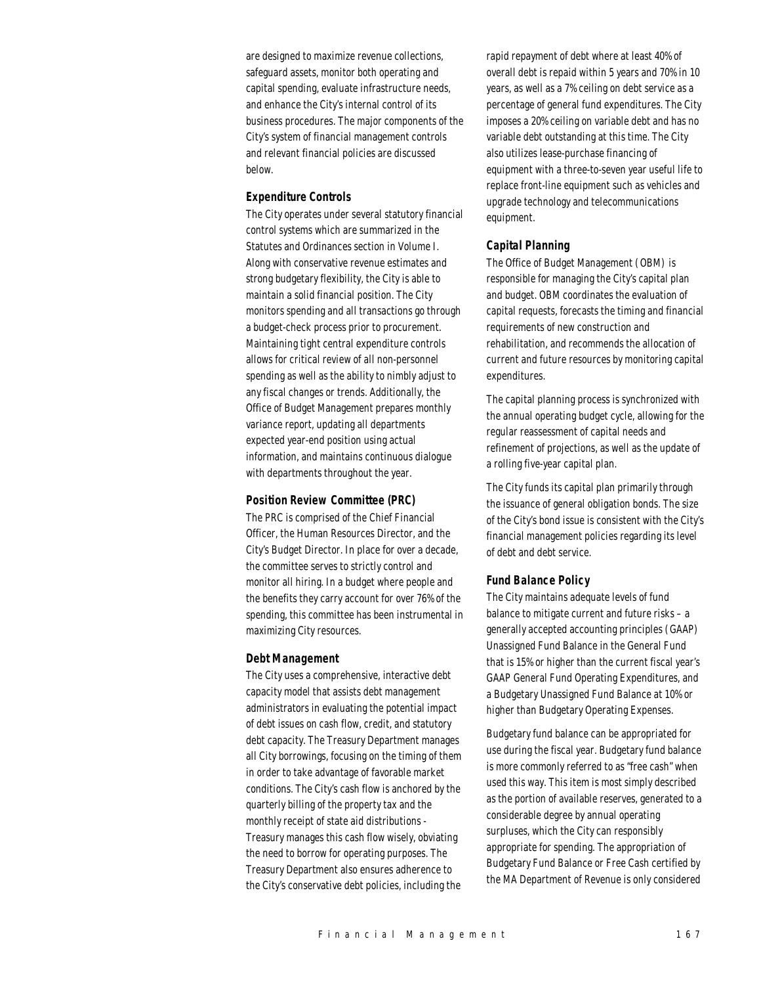are designed to maximize revenue collections, safeguard assets, monitor both operating and capital spending, evaluate infrastructure needs, and enhance the City's internal control of its business procedures. The major components of the City's system of financial management controls and relevant financial policies are discussed below.

#### *Expenditure Controls*

The City operates under several statutory financial control systems which are summarized in the Statutes and Ordinances section in Volume I. Along with conservative revenue estimates and strong budgetary flexibility, the City is able to maintain a solid financial position. The City monitors spending and all transactions go through a budget-check process prior to procurement. Maintaining tight central expenditure controls allows for critical review of all non-personnel spending as well as the ability to nimbly adjust to any fiscal changes or trends. Additionally, the Office of Budget Management prepares monthly variance report, updating all departments expected year-end position using actual information, and maintains continuous dialogue with departments throughout the year.

# *Position Review Committee (PRC)*

The PRC is comprised of the Chief Financial Officer, the Human Resources Director, and the City's Budget Director. In place for over a decade, the committee serves to strictly control and monitor all hiring. In a budget where people and the benefits they carry account for over 76% of the spending, this committee has been instrumental in maximizing City resources.

#### *Debt Management*

The City uses a comprehensive, interactive debt capacity model that assists debt management administrators in evaluating the potential impact of debt issues on cash flow, credit, and statutory debt capacity. The Treasury Department manages all City borrowings, focusing on the timing of them in order to take advantage of favorable market conditions. The City's cash flow is anchored by the quarterly billing of the property tax and the monthly receipt of state aid distributions - Treasury manages this cash flow wisely, obviating the need to borrow for operating purposes. The Treasury Department also ensures adherence to the City's conservative debt policies, including the

rapid repayment of debt where at least 40% of overall debt is repaid within 5 years and 70% in 10 years, as well as a 7% ceiling on debt service as a percentage of general fund expenditures. The City imposes a 20% ceiling on variable debt and has no variable debt outstanding at this time. The City also utilizes lease-purchase financing of equipment with a three-to-seven year useful life to replace front-line equipment such as vehicles and upgrade technology and telecommunications equipment.

#### *Capital Planning*

The Office of Budget Management (OBM) is responsible for managing the City's capital plan and budget. OBM coordinates the evaluation of capital requests, forecasts the timing and financial requirements of new construction and rehabilitation, and recommends the allocation of current and future resources by monitoring capital expenditures.

The capital planning process is synchronized with the annual operating budget cycle, allowing for the regular reassessment of capital needs and refinement of projections, as well as the update of a rolling five-year capital plan.

The City funds its capital plan primarily through the issuance of general obligation bonds. The size of the City's bond issue is consistent with the City's financial management policies regarding its level of debt and debt service.

# *Fund Balance Policy*

The City maintains adequate levels of fund balance to mitigate current and future risks – a generally accepted accounting principles (GAAP) Unassigned Fund Balance in the General Fund that is 15% or higher than the current fiscal year's GAAP General Fund Operating Expenditures, and a Budgetary Unassigned Fund Balance at 10% or higher than Budgetary Operating Expenses.

Budgetary fund balance can be appropriated for use during the fiscal year. Budgetary fund balance is more commonly referred to as "free cash" when used this way. This item is most simply described as the portion of available reserves, generated to a considerable degree by annual operating surpluses, which the City can responsibly appropriate for spending. The appropriation of Budgetary Fund Balance or Free Cash certified by the MA Department of Revenue is only considered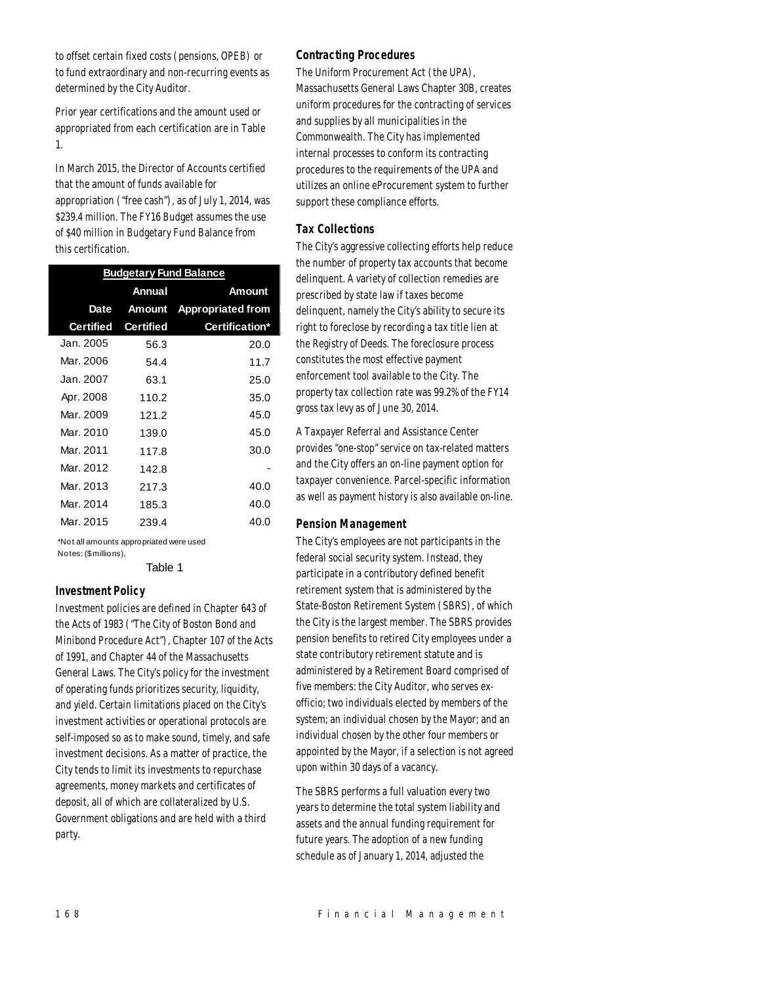to offset certain fixed costs (pensions, OPEB) or to fund extraordinary and non-recurring events as determined by the City Auditor.

Prior year certifications and the amount used or appropriated from each certification are in Table 1.

In March 2015, the Director of Accounts certified that the amount of funds available for appropriation ("free cash"), as of July 1, 2014, was \$239.4 million. The FY16 Budget assumes the use of \$40 million in Budgetary Fund Balance from this certification.

| <b>Budgetary Fund Balance</b> |                  |                          |  |  |
|-------------------------------|------------------|--------------------------|--|--|
|                               | Annual           | Amount                   |  |  |
| Date                          | Amount           | <b>Appropriated from</b> |  |  |
| <b>Certified</b>              | <b>Certified</b> | Certification*           |  |  |
| Jan. 2005.                    | 56.3             | 20.0                     |  |  |
| Mar. 2006                     | 54.4             | 11.7                     |  |  |
| Jan. 2007.                    | 63.1             | 25.0                     |  |  |
| Apr. 2008                     | 110.2            | 35.0                     |  |  |
| Mar. 2009                     | 121.2            | 45.0                     |  |  |
| Mar. 2010                     | 139.0            | 45.0                     |  |  |
| Mar. 2011                     | 117.8            | 30.0                     |  |  |
| Mar. 2012                     | 142.8            |                          |  |  |
| Mar. 2013                     | 217.3            | 40.0                     |  |  |
| Mar. 2014                     | 185.3            | 40.0                     |  |  |
| Mar. 2015                     | 239.4            | 40.0                     |  |  |

\*Not all amounts appropriated were used Notes: (\$millions),

Table 1

# *Investment Policy*

Investment policies are defined in Chapter 643 of the Acts of 1983 ("The City of Boston Bond and Minibond Procedure Act"), Chapter 107 of the Acts of 1991, and Chapter 44 of the Massachusetts General Laws. The City's policy for the investment of operating funds prioritizes security, liquidity, and yield. Certain limitations placed on the City's investment activities or operational protocols are self-imposed so as to make sound, timely, and safe investment decisions. As a matter of practice, the City tends to limit its investments to repurchase agreements, money markets and certificates of deposit, all of which are collateralized by U.S. Government obligations and are held with a third party.

#### *Contracting Procedures*

The Uniform Procurement Act (the UPA), Massachusetts General Laws Chapter 30B, creates uniform procedures for the contracting of services and supplies by all municipalities in the Commonwealth. The City has implemented internal processes to conform its contracting procedures to the requirements of the UPA and utilizes an online eProcurement system to further support these compliance efforts.

#### *Tax Collections*

The City's aggressive collecting efforts help reduce the number of property tax accounts that become delinquent. A variety of collection remedies are prescribed by state law if taxes become delinquent, namely the City's ability to secure its right to foreclose by recording a tax title lien at the Registry of Deeds. The foreclosure process constitutes the most effective payment enforcement tool available to the City. The property tax collection rate was 99.2% of the FY14 gross tax levy as of June 30, 2014.

A Taxpayer Referral and Assistance Center provides "one-stop" service on tax-related matters and the City offers an on-line payment option for taxpayer convenience. Parcel-specific information as well as payment history is also available on-line.

#### *Pension Management*

The City's employees are not participants in the federal social security system. Instead, they participate in a contributory defined benefit retirement system that is administered by the State-Boston Retirement System (SBRS), of which the City is the largest member. The SBRS provides pension benefits to retired City employees under a state contributory retirement statute and is administered by a Retirement Board comprised of five members: the City Auditor, who serves exofficio; two individuals elected by members of the system; an individual chosen by the Mayor; and an individual chosen by the other four members or appointed by the Mayor, if a selection is not agreed upon within 30 days of a vacancy.

The SBRS performs a full valuation every two years to determine the total system liability and assets and the annual funding requirement for future years. The adoption of a new funding schedule as of January 1, 2014, adjusted the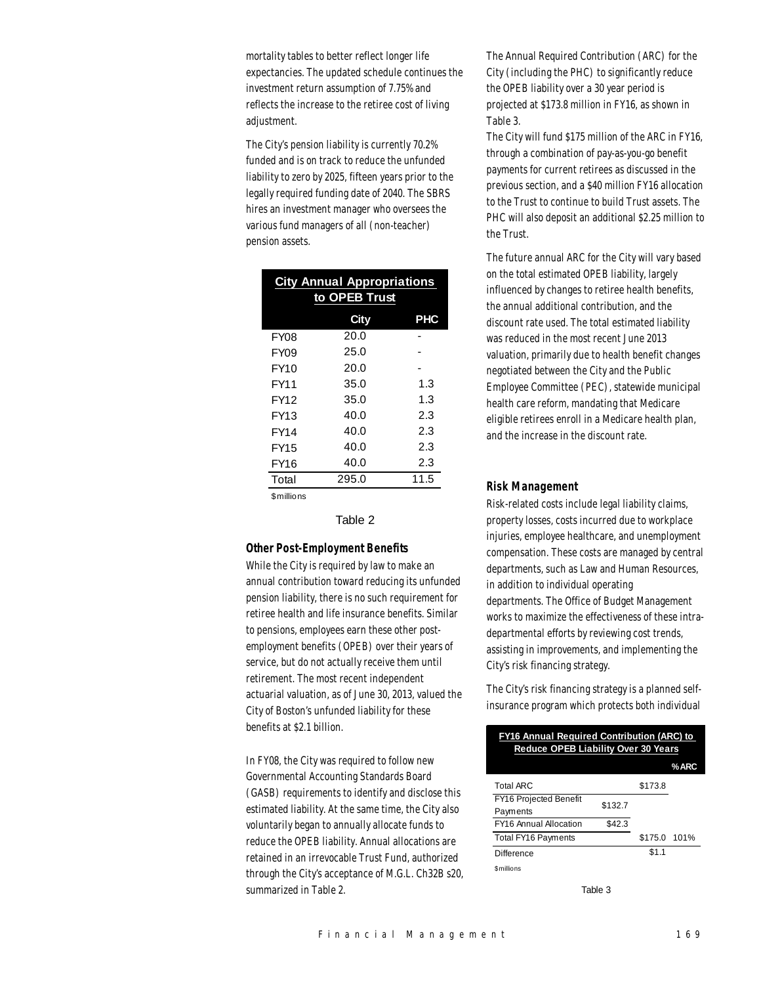mortality tables to better reflect longer life expectancies. The updated schedule continues the investment return assumption of 7.75% and reflects the increase to the retiree cost of living adjustment.

The City's pension liability is currently 70.2% funded and is on track to reduce the unfunded liability to zero by 2025, fifteen years prior to the legally required funding date of 2040. The SBRS hires an investment manager who oversees the various fund managers of all (non-teacher) pension assets.

| <b>City Annual Appropriations</b><br>to OPEB Trust |       |            |  |  |
|----------------------------------------------------|-------|------------|--|--|
|                                                    | City  | <b>PHC</b> |  |  |
| FY08                                               | 20.0  |            |  |  |
| FY09                                               | 25.0  |            |  |  |
| FY10                                               | 20.0  |            |  |  |
| FY11                                               | 35.0  | 1.3        |  |  |
| FY12                                               | 35.0  | 1.3        |  |  |
| FY13                                               | 40.0  | 23         |  |  |
| FY14                                               | 40.0  | 2.3        |  |  |
| <b>FY15</b>                                        | 40.0  | 2.3        |  |  |
| <b>FY16</b>                                        | 40.0  | 2.3        |  |  |
| Total                                              | 295.0 | 11.5       |  |  |
| \$millions                                         |       |            |  |  |

#### Table 2

#### *Other Post-Employment Benefits*

While the City is required by law to make an annual contribution toward reducing its unfunded pension liability, there is no such requirement for retiree health and life insurance benefits. Similar to pensions, employees earn these other postemployment benefits (OPEB) over their years of service, but do not actually receive them until retirement. The most recent independent actuarial valuation, as of June 30, 2013, valued the City of Boston's unfunded liability for these benefits at \$2.1 billion.

In FY08, the City was required to follow new Governmental Accounting Standards Board (GASB) requirements to identify and disclose this estimated liability. At the same time, the City also voluntarily began to annually allocate funds to reduce the OPEB liability. Annual allocations are retained in an irrevocable Trust Fund, authorized through the City's acceptance of M.G.L. Ch32B s20, summarized in Table 2.

The Annual Required Contribution (ARC) for the City (including the PHC) to significantly reduce the OPEB liability over a 30 year period is projected at \$173.8 million in FY16, as shown in Table 3.

The City will fund \$175 million of the ARC in FY16, through a combination of pay-as-you-go benefit payments for current retirees as discussed in the previous section, and a \$40 million FY16 allocation to the Trust to continue to build Trust assets. The PHC will also deposit an additional \$2.25 million to the Trust.

The future annual ARC for the City will vary based on the total estimated OPEB liability, largely influenced by changes to retiree health benefits, the annual additional contribution, and the discount rate used. The total estimated liability was reduced in the most recent June 2013 valuation, primarily due to health benefit changes negotiated between the City and the Public Employee Committee (PEC), statewide municipal health care reform, mandating that Medicare eligible retirees enroll in a Medicare health plan, and the increase in the discount rate.

#### *Risk Management*

Risk-related costs include legal liability claims, property losses, costs incurred due to workplace injuries, employee healthcare, and unemployment compensation. These costs are managed by central departments, such as Law and Human Resources, in addition to individual operating departments. The Office of Budget Management works to maximize the effectiveness of these intradepartmental efforts by reviewing cost trends, assisting in improvements, and implementing the City's risk financing strategy.

The City's risk financing strategy is a planned selfinsurance program which protects both individual

| <b>FY16 Annual Required Contribution (ARC) to</b><br><b>Reduce OPEB Liability Over 30 Years</b> |         |              |  |  |  |
|-------------------------------------------------------------------------------------------------|---------|--------------|--|--|--|
| %ARC                                                                                            |         |              |  |  |  |
| Total ARC                                                                                       |         | \$173.8      |  |  |  |
| <b>FY16 Projected Benefit</b>                                                                   | \$132.7 |              |  |  |  |
| Payments                                                                                        |         |              |  |  |  |
| FY16 Annual Allocation                                                                          | \$42.3  |              |  |  |  |
| <b>Total FY16 Payments</b>                                                                      |         | \$175.0 101% |  |  |  |
| Difference                                                                                      |         | \$1.1        |  |  |  |
| <b>Smillions</b>                                                                                |         |              |  |  |  |

Table 3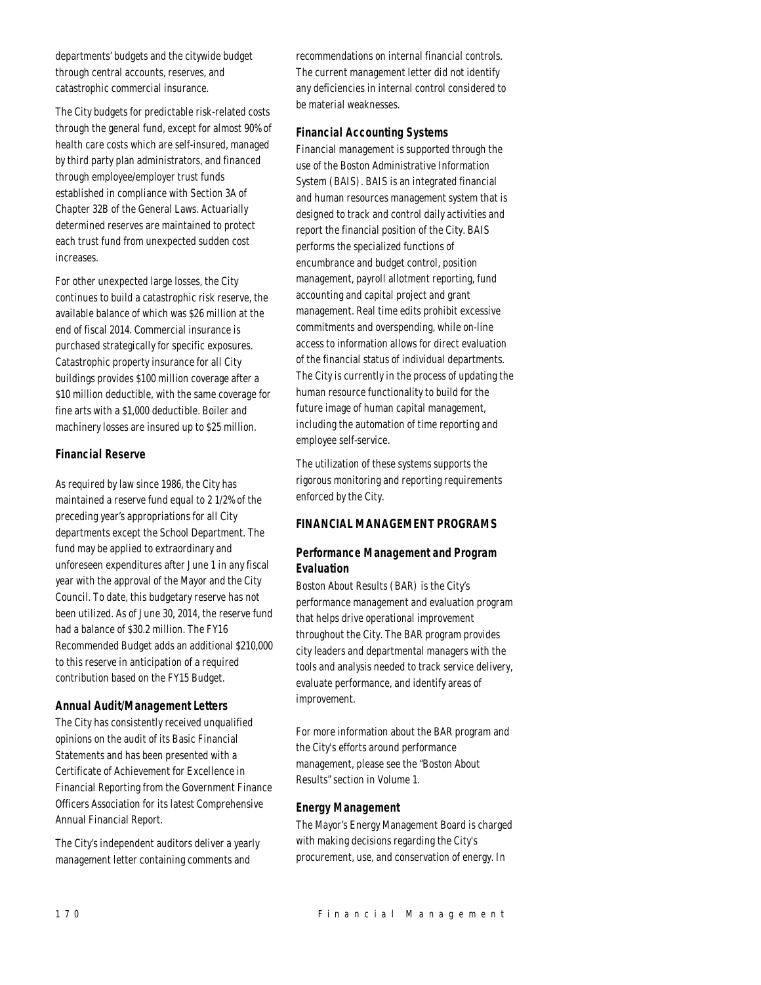departments' budgets and the citywide budget through central accounts, reserves, and catastrophic commercial insurance.

The City budgets for predictable risk-related costs through the general fund, except for almost 90% of health care costs which are self-insured, managed by third party plan administrators, and financed through employee/employer trust funds established in compliance with Section 3A of Chapter 32B of the General Laws. Actuarially determined reserves are maintained to protect each trust fund from unexpected sudden cost increases.

For other unexpected large losses, the City continues to build a catastrophic risk reserve, the available balance of which was \$26 million at the end of fiscal 2014. Commercial insurance is purchased strategically for specific exposures. Catastrophic property insurance for all City buildings provides \$100 million coverage after a \$10 million deductible, with the same coverage for fine arts with a \$1,000 deductible. Boiler and machinery losses are insured up to \$25 million.

# *Financial Reserve*

As required by law since 1986, the City has maintained a reserve fund equal to 2 1/2% of the preceding year's appropriations for all City departments except the School Department. The fund may be applied to extraordinary and unforeseen expenditures after June 1 in any fiscal year with the approval of the Mayor and the City Council. To date, this budgetary reserve has not been utilized. As of June 30, 2014, the reserve fund had a balance of \$30.2 million. The FY16 Recommended Budget adds an additional \$210,000 to this reserve in anticipation of a required contribution based on the FY15 Budget.

# *Annual Audit/Management Letters*

The City has consistently received unqualified opinions on the audit of its Basic Financial Statements and has been presented with a Certificate of Achievement for Excellence in Financial Reporting from the Government Finance Officers Association for its latest Comprehensive Annual Financial Report.

The City's independent auditors deliver a yearly management letter containing comments and

recommendations on internal financial controls. The current management letter did not identify any deficiencies in internal control considered to be material weaknesses.

# *Financial Accounting Systems*

Financial management is supported through the use of the Boston Administrative Information System (BAIS). BAIS is an integrated financial and human resources management system that is designed to track and control daily activities and report the financial position of the City. BAIS performs the specialized functions of encumbrance and budget control, position management, payroll allotment reporting, fund accounting and capital project and grant management. Real time edits prohibit excessive commitments and overspending, while on-line access to information allows for direct evaluation of the financial status of individual departments. The City is currently in the process of updating the human resource functionality to build for the future image of human capital management, including the automation of time reporting and employee self-service.

The utilization of these systems supports the rigorous monitoring and reporting requirements enforced by the City.

# *FINANCIAL MANAGEMENT PROGRAMS*

# *Performance Management and Program Evaluation*

Boston About Results (BAR) is the City's performance management and evaluation program that helps drive operational improvement throughout the City. The BAR program provides city leaders and departmental managers with the tools and analysis needed to track service delivery, evaluate performance, and identify areas of improvement.

For more information about the BAR program and the City's efforts around performance management, please see the "Boston About Results" section in Volume 1.

# *Energy Management*

The Mayor's Energy Management Board is charged with making decisions regarding the City's procurement, use, and conservation of energy. In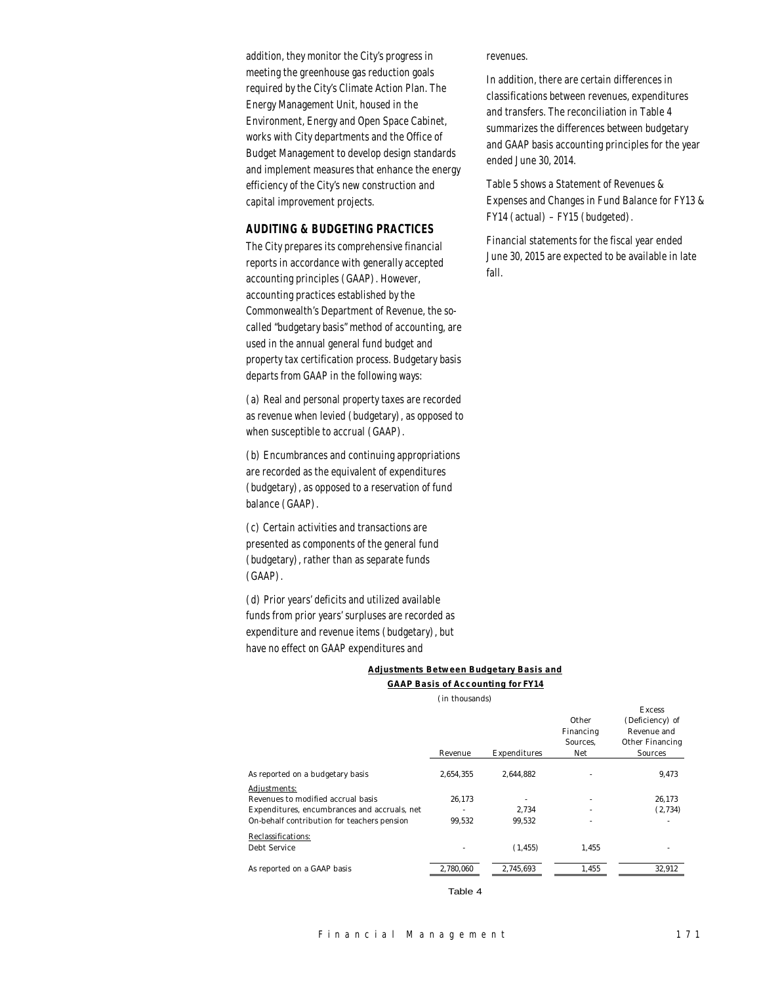addition, they monitor the City's progress in meeting the greenhouse gas reduction goals required by the City's Climate Action Plan. The Energy Management Unit, housed in the Environment, Energy and Open Space Cabinet, works with City departments and the Office of Budget Management to develop design standards and implement measures that enhance the energy efficiency of the City's new construction and capital improvement projects.

#### *AUDITING & BUDGETING PRACTICES*

The City prepares its comprehensive financial reports in accordance with generally accepted accounting principles (GAAP). However, accounting practices established by the Commonwealth's Department of Revenue, the socalled "budgetary basis" method of accounting, are used in the annual general fund budget and property tax certification process. Budgetary basis departs from GAAP in the following ways:

(a) Real and personal property taxes are recorded as revenue when levied (budgetary), as opposed to when susceptible to accrual (GAAP).

(b) Encumbrances and continuing appropriations are recorded as the equivalent of expenditures (budgetary), as opposed to a reservation of fund balance (GAAP).

(c) Certain activities and transactions are presented as components of the general fund (budgetary), rather than as separate funds (GAAP).

(d) Prior years' deficits and utilized available funds from prior years' surpluses are recorded as expenditure and revenue items (budgetary), but have no effect on GAAP expenditures and

#### *Adjustments Between Budgetary Basis and*

revenues.

fall.

ended June 30, 2014.

In addition, there are certain differences in classifications between revenues, expenditures and transfers. The reconciliation in Table 4 summarizes the differences between budgetary and GAAP basis accounting principles for the year

Table 5 shows a Statement of Revenues &

FY14 (actual) – FY15 (budgeted).

Expenses and Changes in Fund Balance for FY13 &

Financial statements for the fiscal year ended June 30, 2015 are expected to be available in late

*GAAP Basis of Accounting for FY14*

(in thousands)

|                                              | Revenue   | Expenditures | Other<br>Financing<br>Sources.<br>Net | (Deficiency) of<br>Revenue and<br>Other Financing<br>Sources |
|----------------------------------------------|-----------|--------------|---------------------------------------|--------------------------------------------------------------|
| As reported on a budgetary basis             | 2.654.355 | 2.644.882    |                                       | 9,473                                                        |
| Adjustments:                                 |           |              |                                       |                                                              |
| Revenues to modified accrual basis           | 26,173    |              |                                       | 26,173                                                       |
| Expenditures, encumbrances and accruals, net |           | 2.734        | ۰                                     | (2,734)                                                      |
| On-behalf contribution for teachers pension  | 99.532    | 99.532       |                                       |                                                              |
| Reclassifications:                           |           |              |                                       |                                                              |
| Debt Service                                 |           | (1, 455)     | 1.455                                 |                                                              |
| As reported on a GAAP basis                  | 2,780,060 | 2,745,693    | 1,455                                 | 32,912                                                       |

Table 4

Excess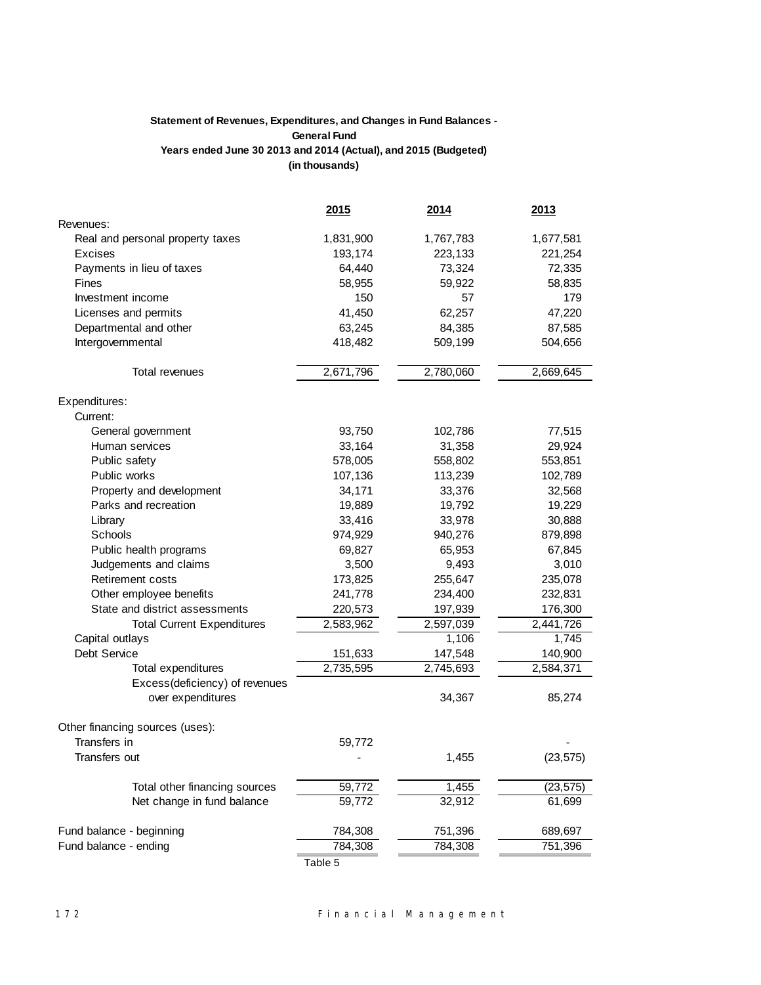# **Statement of Revenues, Expenditures, and Changes in Fund Balances - General Fund Years ended June 30 2013 and 2014 (Actual), and 2015 (Budgeted) (in thousands)**

|                                   | 2015      | 2014      | 2013      |
|-----------------------------------|-----------|-----------|-----------|
| Revenues:                         |           |           |           |
| Real and personal property taxes  | 1,831,900 | 1,767,783 | 1,677,581 |
| Excises                           | 193,174   | 223,133   | 221,254   |
| Payments in lieu of taxes         | 64,440    | 73,324    | 72,335    |
| Fines                             | 58,955    | 59,922    | 58,835    |
| Investment income                 | 150       | 57        | 179       |
| Licenses and permits              | 41,450    | 62,257    | 47,220    |
| Departmental and other            | 63,245    | 84,385    | 87,585    |
| Intergovernmental                 | 418,482   | 509,199   | 504,656   |
|                                   |           |           |           |
| Total revenues                    | 2,671,796 | 2,780,060 | 2,669,645 |
| Expenditures:                     |           |           |           |
| Current:                          |           |           |           |
| General government                | 93,750    | 102,786   | 77,515    |
| Human services                    | 33,164    | 31,358    | 29,924    |
| Public safety                     | 578,005   | 558,802   | 553,851   |
| Public works                      | 107,136   | 113,239   | 102,789   |
| Property and development          | 34,171    | 33,376    | 32,568    |
| Parks and recreation              | 19,889    | 19,792    | 19,229    |
| Library                           | 33,416    | 33,978    | 30,888    |
| Schools                           | 974,929   | 940,276   | 879,898   |
| Public health programs            | 69,827    | 65,953    | 67,845    |
| Judgements and claims             | 3,500     | 9,493     | 3,010     |
| Retirement costs                  | 173,825   | 255,647   | 235,078   |
| Other employee benefits           | 241,778   | 234,400   | 232,831   |
| State and district assessments    | 220,573   | 197,939   | 176,300   |
| <b>Total Current Expenditures</b> | 2,583,962 | 2,597,039 | 2,441,726 |
| Capital outlays                   |           | 1,106     | 1,745     |
| Debt Service                      | 151,633   | 147,548   | 140,900   |
| Total expenditures                | 2,735,595 | 2,745,693 | 2,584,371 |
| Excess(deficiency) of revenues    |           |           |           |
| over expenditures                 |           | 34,367    | 85,274    |
| Other financing sources (uses):   |           |           |           |
| Transfers in                      | 59,772    |           |           |
| Transfers out                     |           | 1,455     | (23, 575) |
|                                   |           |           |           |
| Total other financing sources     | 59,772    | 1,455     | (23, 575) |
| Net change in fund balance        | 59,772    | 32,912    | 61,699    |
| Fund balance - beginning          | 784,308   | 751,396   | 689,697   |
| Fund balance - ending             | 784,308   | 784,308   | 751,396   |
|                                   | Table 5   |           |           |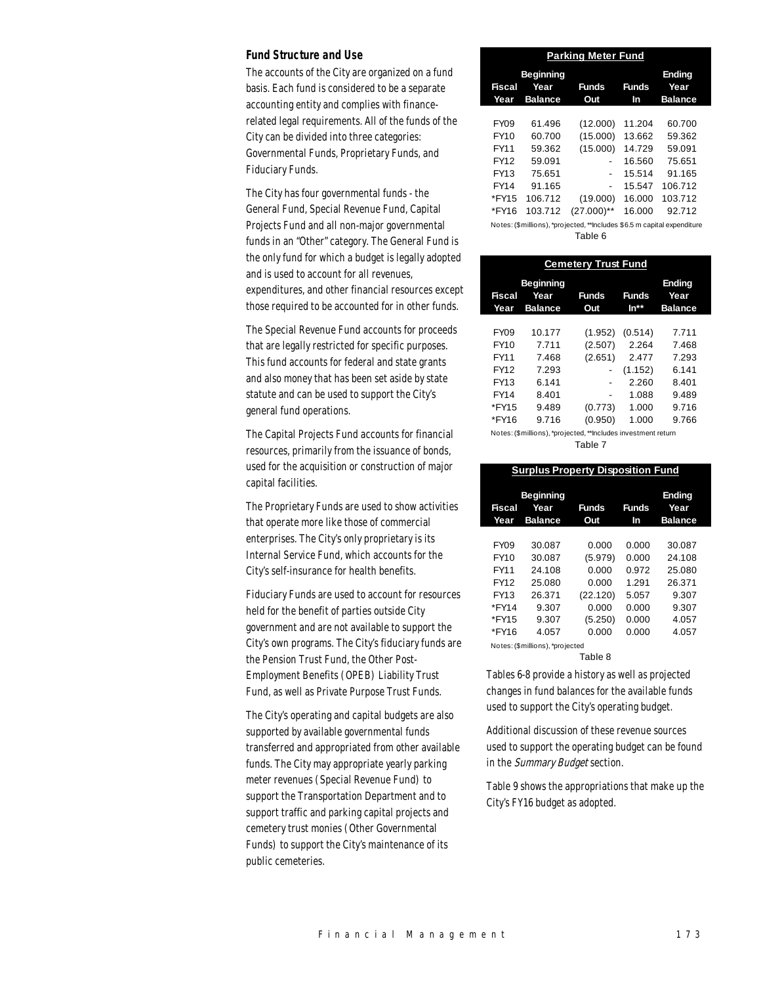#### *Fund Structure and Use*

The accounts of the City are organized on a fund basis. Each fund is considered to be a separate accounting entity and complies with financerelated legal requirements. All of the funds of the City can be divided into three categories: Governmental Funds, Proprietary Funds, and Fiduciary Funds.

The City has four governmental funds - the General Fund, Special Revenue Fund, Capital Projects Fund and all non-major governmental funds in an "Other" category. The General Fund is the only fund for which a budget is legally adopted and is used to account for all revenues, expenditures, and other financial resources except those required to be accounted for in other funds.

The Special Revenue Fund accounts for proceeds that are legally restricted for specific purposes. This fund accounts for federal and state grants and also money that has been set aside by state statute and can be used to support the City's general fund operations.

The Capital Projects Fund accounts for financial resources, primarily from the issuance of bonds, used for the acquisition or construction of major capital facilities.

The Proprietary Funds are used to show activities that operate more like those of commercial enterprises. The City's only proprietary is its Internal Service Fund, which accounts for the City's self-insurance for health benefits.

Fiduciary Funds are used to account for resources held for the benefit of parties outside City government and are not available to support the City's own programs. The City's fiduciary funds are the Pension Trust Fund, the Other Post-Employment Benefits (OPEB) Liability Trust Fund, as well as Private Purpose Trust Funds.

The City's operating and capital budgets are also supported by available governmental funds transferred and appropriated from other available funds. The City may appropriate yearly parking meter revenues (Special Revenue Fund) to support the Transportation Department and to support traffic and parking capital projects and cemetery trust monies (Other Governmental Funds) to support the City's maintenance of its public cemeteries.

| <b>Parking Meter Fund</b>                                               |                                            |                          |                    |                                         |  |  |
|-------------------------------------------------------------------------|--------------------------------------------|--------------------------|--------------------|-----------------------------------------|--|--|
| <b>Fiscal</b><br>Year                                                   | <b>Beginning</b><br>Year<br><b>Balance</b> | <b>Funds</b><br>Out      | <b>Funds</b><br>In | <b>Ending</b><br>Year<br><b>Balance</b> |  |  |
|                                                                         |                                            |                          |                    |                                         |  |  |
| <b>FY09</b>                                                             | 61.496                                     | (12.000)                 | 11.204             | 60.700                                  |  |  |
| FY10                                                                    | 60.700                                     | (15.000)                 | 13.662             | 59.362                                  |  |  |
| FY11                                                                    | 59.362                                     | (15.000)                 | 14.729             | 59.091                                  |  |  |
| FY12                                                                    | 59.091                                     | -                        | 16.560             | 75.651                                  |  |  |
| FY13                                                                    | 75.651                                     | $\overline{\phantom{a}}$ | 15.514             | 91.165                                  |  |  |
| FY14                                                                    | 91.165                                     | $\overline{\phantom{a}}$ | 15.547             | 106.712                                 |  |  |
| *FY15                                                                   | 106.712                                    | (19.000)                 | 16.000             | 103.712                                 |  |  |
| *FY16                                                                   | 103.712                                    | $(27.000)$ **            | 16.000             | 92.712                                  |  |  |
| Notes: (\$millions), *projected, **Includes \$6.5 m capital expenditure |                                            |                          |                    |                                         |  |  |

Table 6

| <b>Cemetery Trust Fund</b>                                    |                                     |                     |                                    |                                         |  |  |
|---------------------------------------------------------------|-------------------------------------|---------------------|------------------------------------|-----------------------------------------|--|--|
| Fiscal<br>Year                                                | <b>Beginning</b><br>Year<br>Balance | <b>Funds</b><br>Out | <b>Funds</b><br>$\mathsf{In}^{**}$ | <b>Ending</b><br>Year<br><b>Balance</b> |  |  |
| <b>FY09</b>                                                   | 10.177                              | (1.952)             | (0.514)                            | 7.711                                   |  |  |
| FY10                                                          | 7.711                               | (2.507)             | 2.264                              | 7.468                                   |  |  |
| FY11                                                          | 7.468                               | (2.651)             | 2.477                              | 7.293                                   |  |  |
| FY12                                                          | 7.293                               | -                   | (1.152)                            | 6.141                                   |  |  |
| FY13                                                          | 6.141                               |                     | 2.260                              | 8.401                                   |  |  |
| FY14                                                          | 8.401                               | -                   | 1.088                              | 9.489                                   |  |  |
| *FY15                                                         | 9.489                               | (0.773)             | 1.000                              | 9.716                                   |  |  |
| *FY16                                                         | 9.716                               | (0.950)             | 1.000                              | 9.766                                   |  |  |
| Notes: (\$millions), *projected, **Includes investment return |                                     |                     |                                    |                                         |  |  |

Table 7

| <b>Surplus Property Disposition Fund</b> |                                            |              |                    |                                  |  |  |
|------------------------------------------|--------------------------------------------|--------------|--------------------|----------------------------------|--|--|
| <b>Fiscal</b><br>Year                    | <b>Beginning</b><br>Year<br><b>Balance</b> | Funds<br>Out | <b>Funds</b><br>In | Ending<br>Year<br><b>Balance</b> |  |  |
|                                          |                                            |              |                    |                                  |  |  |
| <b>FY09</b>                              | 30.087                                     | 0.000        | 0.000              | 30.087                           |  |  |
| FY10                                     | 30.087                                     | (5.979)      | 0.000              | 24.108                           |  |  |
| FY11                                     | 24.108                                     | 0.000        | 0.972              | 25.080                           |  |  |
| FY12                                     | 25.080                                     | 0.000        | 1.291              | 26.371                           |  |  |
| FY13                                     | 26.371                                     | (22.120)     | 5.057              | 9.307                            |  |  |
| *FY14                                    | 9.307                                      | 0.000        | 0.000              | 9.307                            |  |  |
| *FY15                                    | 9.307                                      | (5.250)      | 0.000              | 4.057                            |  |  |
| *FY16                                    | 4.057                                      | 0.000        | 0.000              | 4.057                            |  |  |

Notes: (\$millions), \*projected Table 8

Tables 6-8 provide a history as well as projected changes in fund balances for the available funds used to support the City's operating budget.

Additional discussion of these revenue sources used to support the operating budget can be found in the Summary Budget section.

Table 9 shows the appropriations that make up the City's FY16 budget as adopted.